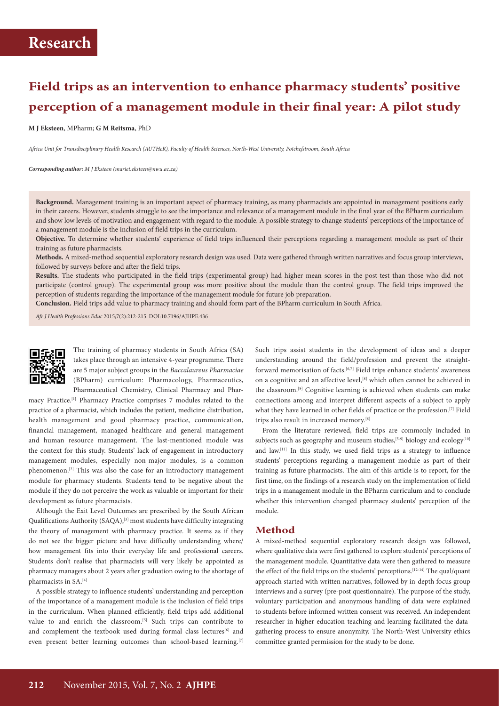# **Field trips as an intervention to enhance pharmacy students' positive perception of a management module in their final year: A pilot study**

**M J Eksteen**, MPharm; **G M Reitsma**, PhD

*Africa Unit for Transdisciplinary Health Research (AUTHeR), Faculty of Health Sciences, North-West University, Potchefstroom, South Africa*

*Corresponding author: M J Eksteen (mariet.eksteen@nwu.ac.za)*

**Background.** Management training is an important aspect of pharmacy training, as many pharmacists are appointed in management positions early in their careers. However, students struggle to see the importance and relevance of a management module in the final year of the BPharm curriculum and show low levels of motivation and engagement with regard to the module. A possible strategy to change students' perceptions of the importance of a management module is the inclusion of field trips in the curriculum.

**Objective.** To determine whether students' experience of field trips influenced their perceptions regarding a management module as part of their training as future pharmacists.

**Methods.** A mixed-method sequential exploratory research design was used. Data were gathered through written narratives and focus group interviews, followed by surveys before and after the field trips.

**Results.** The students who participated in the field trips (experimental group) had higher mean scores in the post-test than those who did not participate (control group). The experimental group was more positive about the module than the control group. The field trips improved the perception of students regarding the importance of the management module for future job preparation.

**Conclusion.** Field trips add value to pharmacy training and should form part of the BPharm curriculum in South Africa.

*Afr J Health Professions Educ* 2015;7(2):212-215. DOI:10.7196/AJHPE.436



The training of pharmacy students in South Africa (SA) takes place through an intensive 4-year programme. There are 5 major subject groups in the *Baccalaureus Pharmaciae* (BPharm) curriculum: Pharmacology, Pharmaceutics, Pharmaceutical Chemistry, Clinical Pharmacy and Phar-

macy Practice.[1] Pharmacy Practice comprises 7 modules related to the practice of a pharmacist, which includes the patient, medicine distribution, health management and good pharmacy practice, communication, financial management, managed healthcare and general management and human resource management. The last-mentioned module was the context for this study. Students' lack of engagement in introductory management modules, especially non-major modules, is a common phenomenon.[2] This was also the case for an introductory management module for pharmacy students. Students tend to be negative about the module if they do not perceive the work as valuable or important for their development as future pharmacists.

Although the Exit Level Outcomes are prescribed by the South African Qualifications Authority (SAQA),[3] most students have difficulty integrating the theory of management with pharmacy practice. It seems as if they do not see the bigger picture and have difficulty understanding where/ how management fits into their everyday life and professional careers. Students don't realise that pharmacists will very likely be appointed as pharmacy managers about 2 years after graduation owing to the shortage of pharmacists in SA.[4]

A possible strategy to influence students' understanding and perception of the importance of a management module is the inclusion of field trips in the curriculum. When planned efficiently, field trips add additional value to and enrich the classroom.<sup>[5]</sup> Such trips can contribute to and complement the textbook used during formal class lectures<sup>[6]</sup> and even present better learning outcomes than school-based learning.<sup>[7]</sup> Such trips assist students in the development of ideas and a deeper understanding around the field/profession and prevent the straightforward memorisation of facts.<sup>[6,7]</sup> Field trips enhance students' awareness on a cognitive and an affective level,<sup>[8]</sup> which often cannot be achieved in the classroom.<sup>[9]</sup> Cognitive learning is achieved when students can make connections among and interpret different aspects of a subject to apply what they have learned in other fields of practice or the profession.<sup>[7]</sup> Field trips also result in increased memory.[8]

From the literature reviewed, field trips are commonly included in subjects such as geography and museum studies,<sup>[5-9]</sup> biology and ecology<sup>[10]</sup> and law.[11] In this study, we used field trips as a strategy to influence students' perceptions regarding a management module as part of their training as future pharmacists. The aim of this article is to report, for the first time, on the findings of a research study on the implementation of field trips in a management module in the BPharm curriculum and to conclude whether this intervention changed pharmacy students' perception of the module.

### **Method**

A mixed-method sequential exploratory research design was followed, where qualitative data were first gathered to explore students' perceptions of the management module. Quantitative data were then gathered to measure the effect of the field trips on the students' perceptions.<sup>[12-14]</sup> The qual/quant approach started with written narratives, followed by in-depth focus group interviews and a survey (pre-post questionnaire). The purpose of the study, voluntary participation and anonymous handling of data were explained to students before informed written consent was received. An independent researcher in higher education teaching and learning facilitated the datagathering process to ensure anonymity. The North-West University ethics committee granted permission for the study to be done.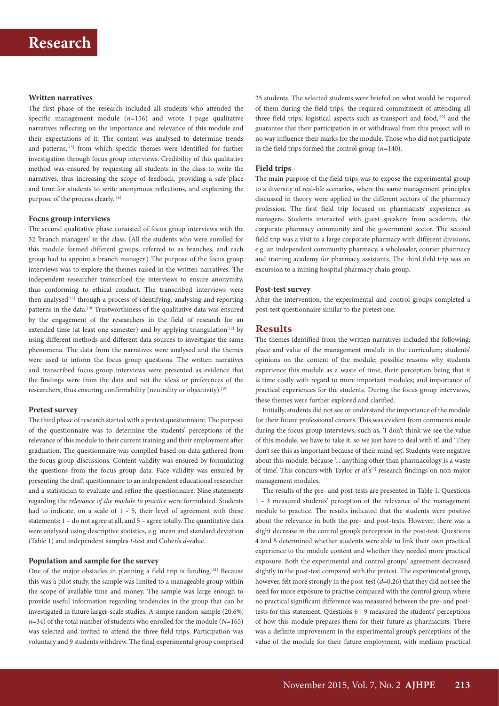### **Written narratives**

The first phase of the research included all students who attended the specific management module (*n*=156) and wrote 1-page qualitative narratives reflecting on the importance and relevance of this module and their expectations of it. The content was analysed to determine trends and patterns,<sup>[15]</sup> from which specific themes were identified for further investigation through focus group interviews. Credibility of this qualitative method was ensured by requesting all students in the class to write the narratives, thus increasing the scope of feedback, providing a safe place and time for students to write anonymous reflections, and explaining the purpose of the process clearly.<sup>[16]</sup>

#### **Focus group interviews**

The second qualitative phase consisted of focus group interviews with the 32 'branch managers' in the class. (All the students who were enrolled for this module formed different groups, referred to as branches, and each group had to appoint a branch manager.) The purpose of the focus group interviews was to explore the themes raised in the written narratives. The independent researcher transcribed the interviews to ensure anonymity, thus conforming to ethical conduct. The transcribed interviews were then analysed<sup>[17]</sup> through a process of identifying, analysing and reporting patterns in the data.<sup>[18]</sup> Trustworthiness of the qualitative data was ensured by the engagement of the researchers in the field of research for an extended time (at least one semester) and by applying triangulation<sup>[12]</sup> by using different methods and different data sources to investigate the same phenomena. The data from the narratives were analysed and the themes were used to inform the focus group questions. The written narratives and transcribed focus group interviews were presented as evidence that the findings were from the data and not the ideas or preferences of the researchers, thus ensuring confirmability (neutrality or objectivity).<sup>[19]</sup>

#### **Pretest survey**

The third phase of research started with a pretest questionnaire. The purpose of the questionnaire was to determine the students' perceptions of the relevance of this module to their current training and their employment after graduation. The questionnaire was compiled based on data gathered from the focus group discussions. Content validity was ensured by formulating the questions from the focus group data. Face validity was ensured by presenting the draft questionnaire to an independent educational researcher and a statistician to evaluate and refine the questionnaire. Nine statements regarding the *relevance of the module to practice* were formulated. Students had to indicate, on a scale of 1 - 5, their level of agreement with these statements: 1 – do not agree at all, and 5 – agree totally. The quantitative data were analysed using descriptive statistics, e.g. mean and standard deviation (Table 1) and independent samples *t*-test and Cohen's *d*-value.

### **Population and sample for the survey**

One of the major obstacles in planning a field trip is funding.[21] Because this was a pilot study, the sample was limited to a manageable group within the scope of available time and money. The sample was large enough to provide useful information regarding tendencies in the group that can be investigated in future larger-scale studies. A simple random sample (20.6%, *n*=34) of the total number of students who enrolled for the module (*N*=165) was selected and invited to attend the three field trips. Participation was voluntary and 9 students withdrew. The final experimental group comprised 25 students. The selected students were briefed on what would be required of them during the field trips, the required commitment of attending all three field trips, logistical aspects such as transport and food,<sup>[22]</sup> and the guarantee that their participation in or withdrawal from this project will in no way influence their marks for the module. Those who did not participate in the field trips formed the control group (*n*=140).

#### **Field trips**

The main purpose of the field trips was to expose the experimental group to a diversity of real-life scenarios, where the same management principles discussed in theory were applied in the different sectors of the pharmacy profession. The first field trip focused on pharmacists' experience as managers. Students interacted with guest speakers from academia, the corporate pharmacy community and the government sector. The second field trip was a visit to a large corporate pharmacy with different divisions, e.g. an independent community pharmacy, a wholesaler, courier pharmacy and training academy for pharmacy assistants. The third field trip was an excursion to a mining hospital pharmacy chain group.

#### **Post-test survey**

After the intervention, the experimental and control groups completed a post-test questionnaire similar to the pretest one.

#### **Results**

The themes identified from the written narratives included the following: place and value of the management module in the curriculum; students' opinions on the content of the module; possible reasons why students experience this module as a waste of time, their perception being that it is time costly with regard to more important modules; and importance of practical experiences for the students. During the focus group interviews, these themes were further explored and clarified.

Initially, students did not see or understand the importance of the module for their future professional careers. This was evident from comments made during the focus group interviews, such as, 'I don't think we see the value of this module, we have to take it, so we just have to deal with it', and 'They don't see this as important because of their mind set'. Students were negative about this module, because '... anything other than pharmacology is a waste of time'. This concurs with Taylor *et al*.'s<sup>[2]</sup> research findings on non-major management modules.

The results of the pre- and post-tests are presented in Table 1. Questions 1 - 3 measured students' perception of the relevance of the management module to practice. The results indicated that the students were positive about the relevance in both the pre- and post-tests. However, there was a slight decrease in the control group's perception in the post-test. Questions 4 and 5 determined whether students were able to link their own practical experience to the module content and whether they needed more practical exposure. Both the experimental and control groups' agreement decreased slightly in the post-test compared with the pretest. The experimental group, however, felt more strongly in the post-test (*d*=0.26) that they did not see the need for more exposure to practise compared with the control group, where no practical significant difference was measured between the pre- and posttests for this statement. Questions 6 - 9 measured the students' perceptions of how this module prepares them for their future as pharmacists. There was a definite improvement in the experimental group's perceptions of the value of the module for their future employment, with medium practical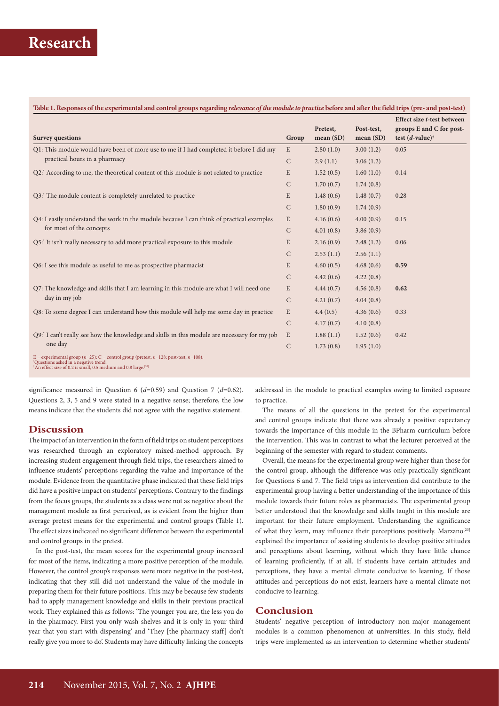| <b>Survey questions</b>                                                                                                                                                                                  | Group        | Pretest,<br>mean(SD) | Post-test,<br>mean(SD) | Effect size t-test between<br>groups E and C for post-<br>test $(d$ -value) <sup>†</sup> |
|----------------------------------------------------------------------------------------------------------------------------------------------------------------------------------------------------------|--------------|----------------------|------------------------|------------------------------------------------------------------------------------------|
| Q1: This module would have been of more use to me if I had completed it before I did my<br>practical hours in a pharmacy                                                                                 | E            | 2.80(1.0)            | 3.00(1.2)              | 0.05                                                                                     |
|                                                                                                                                                                                                          | $\mathsf{C}$ | 2.9(1.1)             | 3.06(1.2)              |                                                                                          |
| Q2: According to me, the theoretical content of this module is not related to practice                                                                                                                   | E            | 1.52(0.5)            | 1.60(1.0)              | 0.14                                                                                     |
|                                                                                                                                                                                                          | C            | 1.70(0.7)            | 1.74(0.8)              |                                                                                          |
| Q3: The module content is completely unrelated to practice                                                                                                                                               | E            | 1.48(0.6)            | 1.48(0.7)              | 0.28                                                                                     |
|                                                                                                                                                                                                          | C            | 1.80(0.9)            | 1.74(0.9)              |                                                                                          |
| Q4: I easily understand the work in the module because I can think of practical examples<br>for most of the concepts                                                                                     | E            | 4.16(0.6)            | 4.00(0.9)              | 0.15                                                                                     |
|                                                                                                                                                                                                          | C            | 4.01(0.8)            | 3.86(0.9)              |                                                                                          |
| Q5: It isn't really necessary to add more practical exposure to this module                                                                                                                              | E            | 2.16(0.9)            | 2.48(1.2)              | 0.06                                                                                     |
|                                                                                                                                                                                                          | C            | 2.53(1.1)            | 2.56(1.1)              |                                                                                          |
| Q6: I see this module as useful to me as prospective pharmacist                                                                                                                                          | E            | 4.60(0.5)            | 4.68(0.6)              | 0.59                                                                                     |
|                                                                                                                                                                                                          | C            | 4.42(0.6)            | 4.22(0.8)              |                                                                                          |
| Q7: The knowledge and skills that I am learning in this module are what I will need one<br>day in my job                                                                                                 | $\mathbf E$  | 4.44(0.7)            | 4.56(0.8)              | 0.62                                                                                     |
|                                                                                                                                                                                                          | $\mathsf{C}$ | 4.21(0.7)            | 4.04(0.8)              |                                                                                          |
| Q8: To some degree I can understand how this module will help me some day in practice                                                                                                                    | $\mathbf E$  | 4.4(0.5)             | 4.36(0.6)              | 0.33                                                                                     |
|                                                                                                                                                                                                          | C            | 4.17(0.7)            | 4.10(0.8)              |                                                                                          |
| Q9: I can't really see how the knowledge and skills in this module are necessary for my job<br>one day                                                                                                   | E            | 1.88(1.1)            | 1.52(0.6)              | 0.42                                                                                     |
|                                                                                                                                                                                                          | $\mathsf C$  | 1.73(0.8)            | 1.95(1.0)              |                                                                                          |
| E = experimental group ( $n=25$ ); C = control group (pretest, $n=128$ ; post-test, $n=108$ ).<br>Questions asked in a negative trend.<br>*An effect size of 0.2 is small, 0.5 medium and 0.8 large.[20] |              |                      |                        |                                                                                          |

significance measured in Question 6 (*d*=0.59) and Question 7 (*d*=0.62). Questions 2, 3, 5 and 9 were stated in a negative sense; therefore, the low means indicate that the students did not agree with the negative statement.

## **Discussion**

The impact of an intervention in the form of field trips on student perceptions was researched through an exploratory mixed-method approach. By increasing student engagement through field trips, the researchers aimed to influence students' perceptions regarding the value and importance of the module. Evidence from the quantitative phase indicated that these field trips did have a positive impact on students' perceptions. Contrary to the findings from the focus groups, the students as a class were not as negative about the management module as first perceived, as is evident from the higher than average pretest means for the experimental and control groups (Table 1). The effect sizes indicated no significant difference between the experimental and control groups in the pretest.

In the post-test, the mean scores for the experimental group increased for most of the items, indicating a more positive perception of the module. However, the control group's responses were more negative in the post-test, indicating that they still did not understand the value of the module in preparing them for their future positions. This may be because few students had to apply management knowledge and skills in their previous practical work. They explained this as follows: 'The younger you are, the less you do in the pharmacy. First you only wash shelves and it is only in your third year that you start with dispensing' and 'They [the pharmacy staff] don't really give you more to do'. Students may have difficulty linking the concepts

addressed in the module to practical examples owing to limited exposure to practice.

The means of all the questions in the pretest for the experimental and control groups indicate that there was already a positive expectancy towards the importance of this module in the BPharm curriculum before the intervention. This was in contrast to what the lecturer perceived at the beginning of the semester with regard to student comments.

Overall, the means for the experimental group were higher than those for the control group, although the difference was only practically significant for Questions 6 and 7. The field trips as intervention did contribute to the experimental group having a better understanding of the importance of this module towards their future roles as pharmacists. The experimental group better understood that the knowledge and skills taught in this module are important for their future employment. Understanding the significance of what they learn, may influence their perceptions positively. Marzano<sup>[23]</sup> explained the importance of assisting students to develop positive attitudes and perceptions about learning, without which they have little chance of learning proficiently, if at all. If students have certain attitudes and perceptions, they have a mental climate conducive to learning. If those attitudes and perceptions do not exist, learners have a mental climate not conducive to learning.

## **Conclusion**

Students' negative perception of introductory non-major management modules is a common phenomenon at universities. In this study, field trips were implemented as an intervention to determine whether students'